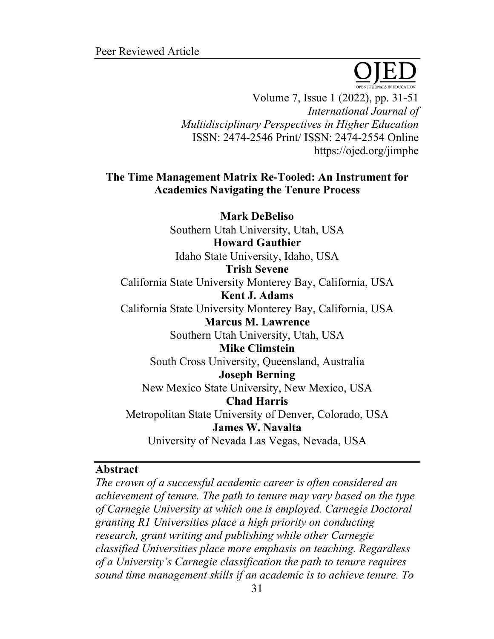Volume 7, Issue 1 (2022), pp. 31-51 *International Journal of Multidisciplinary Perspectives in Higher Education* ISSN: 2474-2546 Print/ ISSN: 2474-2554 Online https://ojed.org/jimphe

## **The Time Management Matrix Re-Tooled: An Instrument for Academics Navigating the Tenure Process**

**Mark DeBeliso** Southern Utah University, Utah, USA **Howard Gauthier** Idaho State University, Idaho, USA **Trish Sevene** California State University Monterey Bay, California, USA **Kent J. Adams** California State University Monterey Bay, California, USA **Marcus M. Lawrence** Southern Utah University, Utah, USA **Mike Climstein** South Cross University, Queensland, Australia **Joseph Berning** New Mexico State University, New Mexico, USA **Chad Harris** Metropolitan State University of Denver, Colorado, USA **James W. Navalta** University of Nevada Las Vegas, Nevada, USA

#### **Abstract**

*The crown of a successful academic career is often considered an achievement of tenure. The path to tenure may vary based on the type of Carnegie University at which one is employed. Carnegie Doctoral granting R1 Universities place a high priority on conducting research, grant writing and publishing while other Carnegie classified Universities place more emphasis on teaching. Regardless of a University's Carnegie classification the path to tenure requires sound time management skills if an academic is to achieve tenure. To*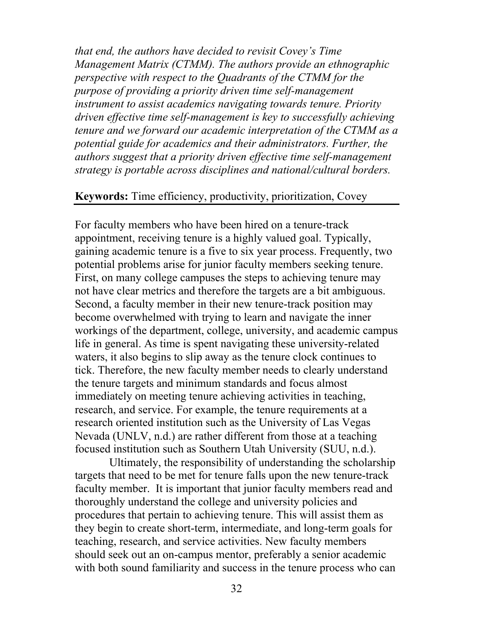*that end, the authors have decided to revisit Covey's Time Management Matrix (CTMM). The authors provide an ethnographic perspective with respect to the Quadrants of the CTMM for the purpose of providing a priority driven time self-management instrument to assist academics navigating towards tenure. Priority driven effective time self-management is key to successfully achieving tenure and we forward our academic interpretation of the CTMM as a potential guide for academics and their administrators. Further, the authors suggest that a priority driven effective time self-management strategy is portable across disciplines and national/cultural borders.*

## **Keywords:** Time efficiency, productivity, prioritization, Covey

For faculty members who have been hired on a tenure-track appointment, receiving tenure is a highly valued goal. Typically, gaining academic tenure is a five to six year process. Frequently, two potential problems arise for junior faculty members seeking tenure. First, on many college campuses the steps to achieving tenure may not have clear metrics and therefore the targets are a bit ambiguous. Second, a faculty member in their new tenure-track position may become overwhelmed with trying to learn and navigate the inner workings of the department, college, university, and academic campus life in general. As time is spent navigating these university-related waters, it also begins to slip away as the tenure clock continues to tick. Therefore, the new faculty member needs to clearly understand the tenure targets and minimum standards and focus almost immediately on meeting tenure achieving activities in teaching, research, and service. For example, the tenure requirements at a research oriented institution such as the University of Las Vegas Nevada (UNLV, n.d.) are rather different from those at a teaching focused institution such as Southern Utah University (SUU, n.d.).

Ultimately, the responsibility of understanding the scholarship targets that need to be met for tenure falls upon the new tenure-track faculty member. It is important that junior faculty members read and thoroughly understand the college and university policies and procedures that pertain to achieving tenure. This will assist them as they begin to create short-term, intermediate, and long-term goals for teaching, research, and service activities. New faculty members should seek out an on-campus mentor, preferably a senior academic with both sound familiarity and success in the tenure process who can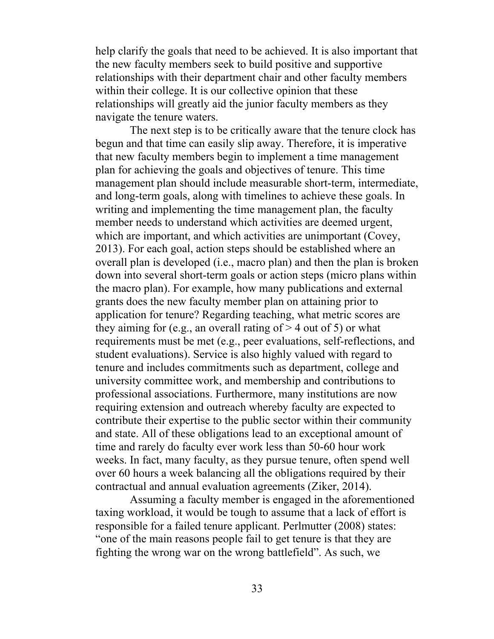help clarify the goals that need to be achieved. It is also important that the new faculty members seek to build positive and supportive relationships with their department chair and other faculty members within their college. It is our collective opinion that these relationships will greatly aid the junior faculty members as they navigate the tenure waters.

The next step is to be critically aware that the tenure clock has begun and that time can easily slip away. Therefore, it is imperative that new faculty members begin to implement a time management plan for achieving the goals and objectives of tenure. This time management plan should include measurable short-term, intermediate, and long-term goals, along with timelines to achieve these goals. In writing and implementing the time management plan, the faculty member needs to understand which activities are deemed urgent, which are important, and which activities are unimportant (Covey, 2013). For each goal, action steps should be established where an overall plan is developed (i.e., macro plan) and then the plan is broken down into several short-term goals or action steps (micro plans within the macro plan). For example, how many publications and external grants does the new faculty member plan on attaining prior to application for tenure? Regarding teaching, what metric scores are they aiming for (e.g., an overall rating of  $> 4$  out of 5) or what requirements must be met (e.g., peer evaluations, self-reflections, and student evaluations). Service is also highly valued with regard to tenure and includes commitments such as department, college and university committee work, and membership and contributions to professional associations. Furthermore, many institutions are now requiring extension and outreach whereby faculty are expected to contribute their expertise to the public sector within their community and state. All of these obligations lead to an exceptional amount of time and rarely do faculty ever work less than 50-60 hour work weeks. In fact, many faculty, as they pursue tenure, often spend well over 60 hours a week balancing all the obligations required by their contractual and annual evaluation agreements (Ziker, 2014).

Assuming a faculty member is engaged in the aforementioned taxing workload, it would be tough to assume that a lack of effort is responsible for a failed tenure applicant. Perlmutter (2008) states: "one of the main reasons people fail to get tenure is that they are fighting the wrong war on the wrong battlefield". As such, we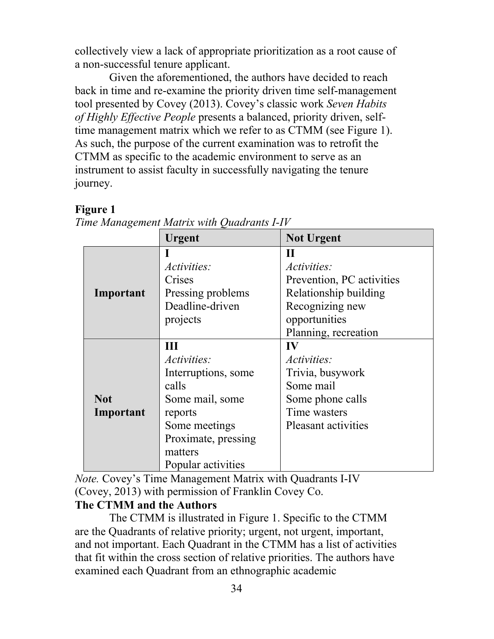collectively view a lack of appropriate prioritization as a root cause of a non-successful tenure applicant.

Given the aforementioned, the authors have decided to reach back in time and re-examine the priority driven time self-management tool presented by Covey (2013). Covey's classic work *Seven Habits of Highly Effective People* presents a balanced, priority driven, selftime management matrix which we refer to as CTMM (see Figure 1). As such, the purpose of the current examination was to retrofit the CTMM as specific to the academic environment to serve as an instrument to assist faculty in successfully navigating the tenure journey.

# **Figure 1**

|                         | <b>Urgent</b>                                                                                                                                                  | <b>Not Urgent</b>                                                                                                    |
|-------------------------|----------------------------------------------------------------------------------------------------------------------------------------------------------------|----------------------------------------------------------------------------------------------------------------------|
| Important               | <i>Activities:</i><br>Crises<br>Pressing problems                                                                                                              | П<br><i>Activities:</i><br>Prevention, PC activities<br>Relationship building                                        |
|                         | Deadline-driven<br>projects                                                                                                                                    | Recognizing new<br>opportunities<br>Planning, recreation                                                             |
| <b>Not</b><br>Important | Ш<br><i>Activities:</i><br>Interruptions, some<br>calls<br>Some mail, some<br>reports<br>Some meetings<br>Proximate, pressing<br>matters<br>Popular activities | IV<br><i>Activities:</i><br>Trivia, busywork<br>Some mail<br>Some phone calls<br>Time wasters<br>Pleasant activities |

*Time Management Matrix with Quadrants I-IV*

*Note.* Covey's Time Management Matrix with Quadrants I-IV (Covey, 2013) with permission of Franklin Covey Co.

# **The CTMM and the Authors**

The CTMM is illustrated in Figure 1. Specific to the CTMM are the Quadrants of relative priority; urgent, not urgent, important, and not important. Each Quadrant in the CTMM has a list of activities that fit within the cross section of relative priorities. The authors have examined each Quadrant from an ethnographic academic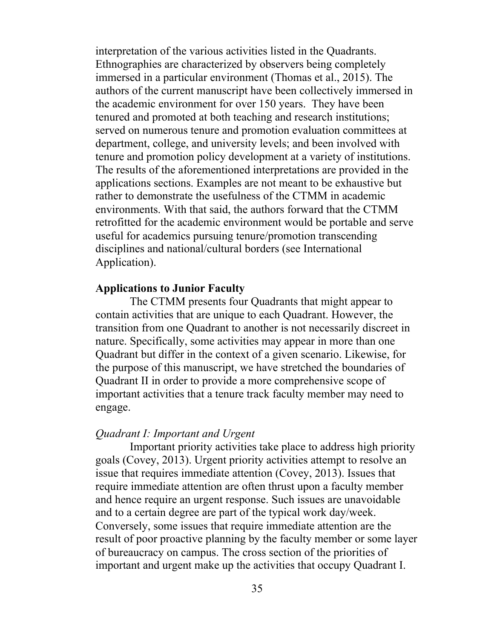interpretation of the various activities listed in the Quadrants. Ethnographies are characterized by observers being completely immersed in a particular environment (Thomas et al., 2015). The authors of the current manuscript have been collectively immersed in the academic environment for over 150 years. They have been tenured and promoted at both teaching and research institutions; served on numerous tenure and promotion evaluation committees at department, college, and university levels; and been involved with tenure and promotion policy development at a variety of institutions. The results of the aforementioned interpretations are provided in the applications sections. Examples are not meant to be exhaustive but rather to demonstrate the usefulness of the CTMM in academic environments. With that said, the authors forward that the CTMM retrofitted for the academic environment would be portable and serve useful for academics pursuing tenure/promotion transcending disciplines and national/cultural borders (see International Application).

#### **Applications to Junior Faculty**

The CTMM presents four Quadrants that might appear to contain activities that are unique to each Quadrant. However, the transition from one Quadrant to another is not necessarily discreet in nature. Specifically, some activities may appear in more than one Quadrant but differ in the context of a given scenario. Likewise, for the purpose of this manuscript, we have stretched the boundaries of Quadrant II in order to provide a more comprehensive scope of important activities that a tenure track faculty member may need to engage.

#### *Quadrant I: Important and Urgent*

Important priority activities take place to address high priority goals (Covey, 2013). Urgent priority activities attempt to resolve an issue that requires immediate attention (Covey, 2013). Issues that require immediate attention are often thrust upon a faculty member and hence require an urgent response. Such issues are unavoidable and to a certain degree are part of the typical work day/week. Conversely, some issues that require immediate attention are the result of poor proactive planning by the faculty member or some layer of bureaucracy on campus. The cross section of the priorities of important and urgent make up the activities that occupy Quadrant I.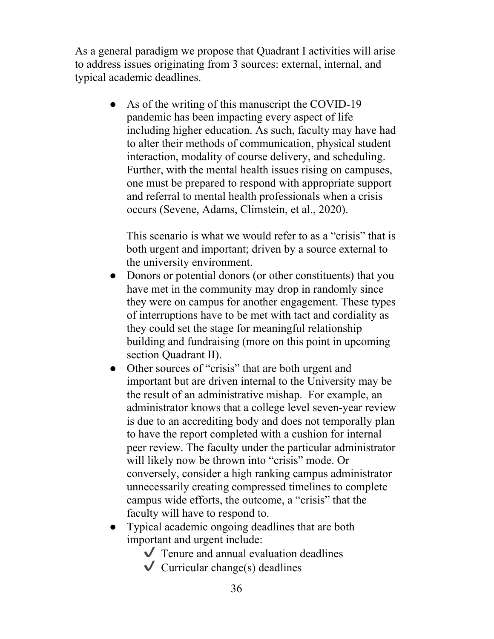As a general paradigm we propose that Quadrant I activities will arise to address issues originating from 3 sources: external, internal, and typical academic deadlines.

> • As of the writing of this manuscript the COVID-19 pandemic has been impacting every aspect of life including higher education. As such, faculty may have had to alter their methods of communication, physical student interaction, modality of course delivery, and scheduling. Further, with the mental health issues rising on campuses, one must be prepared to respond with appropriate support and referral to mental health professionals when a crisis occurs (Sevene, Adams, Climstein, et al., 2020).

This scenario is what we would refer to as a "crisis" that is both urgent and important; driven by a source external to the university environment.

- Donors or potential donors (or other constituents) that you have met in the community may drop in randomly since they were on campus for another engagement. These types of interruptions have to be met with tact and cordiality as they could set the stage for meaningful relationship building and fundraising (more on this point in upcoming section Quadrant II).
- Other sources of "crisis" that are both urgent and important but are driven internal to the University may be the result of an administrative mishap. For example, an administrator knows that a college level seven-year review is due to an accrediting body and does not temporally plan to have the report completed with a cushion for internal peer review. The faculty under the particular administrator will likely now be thrown into "crisis" mode. Or conversely, consider a high ranking campus administrator unnecessarily creating compressed timelines to complete campus wide efforts, the outcome, a "crisis" that the faculty will have to respond to.
- Typical academic ongoing deadlines that are both important and urgent include:
	- $\sqrt{\ }$  Tenure and annual evaluation deadlines
	- $\vee$  Curricular change(s) deadlines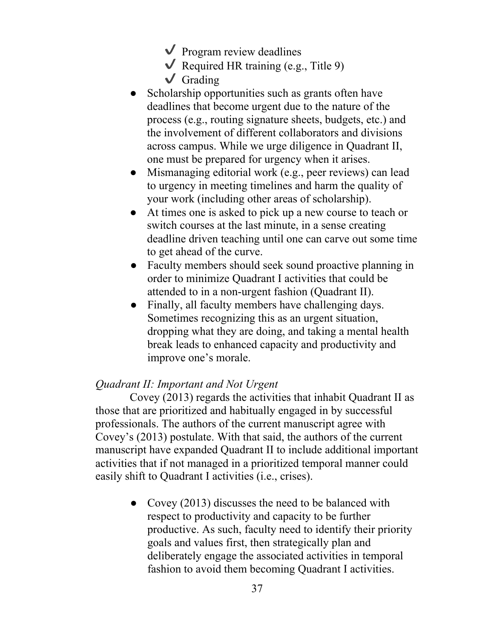- $\vee$  Program review deadlines
- $\vee$  Required HR training (e.g., Title 9)
- $\sqrt{\phantom{a}}$  Grading
- Scholarship opportunities such as grants often have deadlines that become urgent due to the nature of the process (e.g., routing signature sheets, budgets, etc.) and the involvement of different collaborators and divisions across campus. While we urge diligence in Quadrant II, one must be prepared for urgency when it arises.
- Mismanaging editorial work (e.g., peer reviews) can lead to urgency in meeting timelines and harm the quality of your work (including other areas of scholarship).
- At times one is asked to pick up a new course to teach or switch courses at the last minute, in a sense creating deadline driven teaching until one can carve out some time to get ahead of the curve.
- Faculty members should seek sound proactive planning in order to minimize Quadrant I activities that could be attended to in a non-urgent fashion (Quadrant II).
- Finally, all faculty members have challenging days. Sometimes recognizing this as an urgent situation, dropping what they are doing, and taking a mental health break leads to enhanced capacity and productivity and improve one's morale.

## *Quadrant II: Important and Not Urgent*

Covey (2013) regards the activities that inhabit Quadrant II as those that are prioritized and habitually engaged in by successful professionals. The authors of the current manuscript agree with Covey's (2013) postulate. With that said, the authors of the current manuscript have expanded Quadrant II to include additional important activities that if not managed in a prioritized temporal manner could easily shift to Quadrant I activities (i.e., crises).

> • Covey (2013) discusses the need to be balanced with respect to productivity and capacity to be further productive. As such, faculty need to identify their priority goals and values first, then strategically plan and deliberately engage the associated activities in temporal fashion to avoid them becoming Quadrant I activities.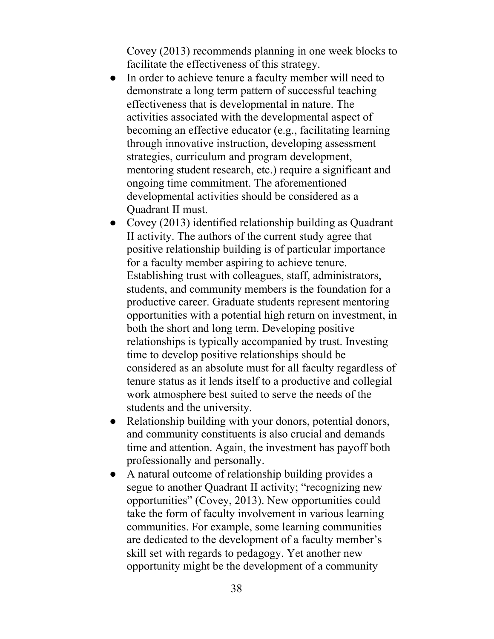Covey (2013) recommends planning in one week blocks to facilitate the effectiveness of this strategy.

- In order to achieve tenure a faculty member will need to demonstrate a long term pattern of successful teaching effectiveness that is developmental in nature. The activities associated with the developmental aspect of becoming an effective educator (e.g., facilitating learning through innovative instruction, developing assessment strategies, curriculum and program development, mentoring student research, etc.) require a significant and ongoing time commitment. The aforementioned developmental activities should be considered as a Quadrant II must.
- Covey (2013) identified relationship building as Quadrant II activity. The authors of the current study agree that positive relationship building is of particular importance for a faculty member aspiring to achieve tenure. Establishing trust with colleagues, staff, administrators, students, and community members is the foundation for a productive career. Graduate students represent mentoring opportunities with a potential high return on investment, in both the short and long term. Developing positive relationships is typically accompanied by trust. Investing time to develop positive relationships should be considered as an absolute must for all faculty regardless of tenure status as it lends itself to a productive and collegial work atmosphere best suited to serve the needs of the students and the university.
- Relationship building with your donors, potential donors, and community constituents is also crucial and demands time and attention. Again, the investment has payoff both professionally and personally.
- A natural outcome of relationship building provides a segue to another Quadrant II activity; "recognizing new opportunities" (Covey, 2013). New opportunities could take the form of faculty involvement in various learning communities. For example, some learning communities are dedicated to the development of a faculty member's skill set with regards to pedagogy. Yet another new opportunity might be the development of a community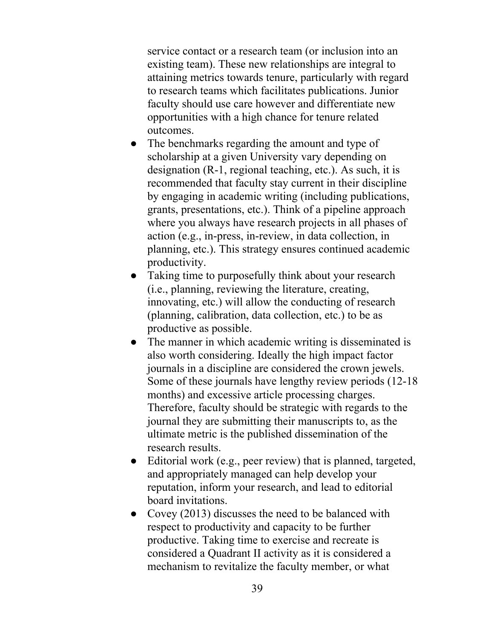service contact or a research team (or inclusion into an existing team). These new relationships are integral to attaining metrics towards tenure, particularly with regard to research teams which facilitates publications. Junior faculty should use care however and differentiate new opportunities with a high chance for tenure related outcomes.

- The benchmarks regarding the amount and type of scholarship at a given University vary depending on designation (R-1, regional teaching, etc.). As such, it is recommended that faculty stay current in their discipline by engaging in academic writing (including publications, grants, presentations, etc.). Think of a pipeline approach where you always have research projects in all phases of action (e.g., in-press, in-review, in data collection, in planning, etc.). This strategy ensures continued academic productivity.
- Taking time to purposefully think about your research (i.e., planning, reviewing the literature, creating, innovating, etc.) will allow the conducting of research (planning, calibration, data collection, etc.) to be as productive as possible.
- The manner in which academic writing is disseminated is also worth considering. Ideally the high impact factor journals in a discipline are considered the crown jewels. Some of these journals have lengthy review periods (12-18 months) and excessive article processing charges. Therefore, faculty should be strategic with regards to the journal they are submitting their manuscripts to, as the ultimate metric is the published dissemination of the research results.
- Editorial work (e.g., peer review) that is planned, targeted, and appropriately managed can help develop your reputation, inform your research, and lead to editorial board invitations.
- Covey (2013) discusses the need to be balanced with respect to productivity and capacity to be further productive. Taking time to exercise and recreate is considered a Quadrant II activity as it is considered a mechanism to revitalize the faculty member, or what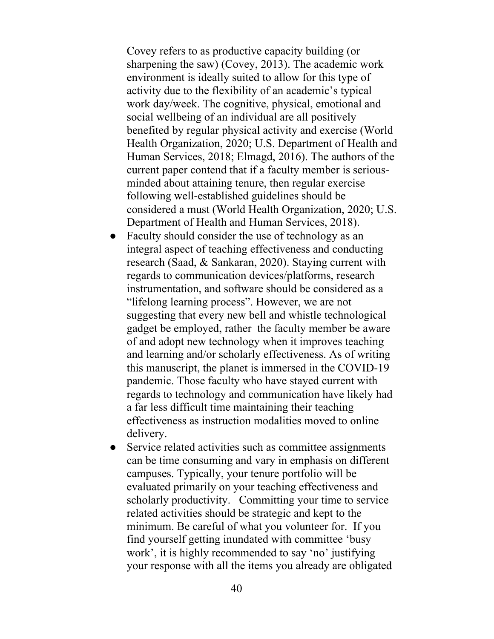Covey refers to as productive capacity building (or sharpening the saw) (Covey, 2013). The academic work environment is ideally suited to allow for this type of activity due to the flexibility of an academic's typical work day/week. The cognitive, physical, emotional and social wellbeing of an individual are all positively benefited by regular physical activity and exercise (World Health Organization, 2020; U.S. Department of Health and Human Services, 2018; Elmagd, 2016). The authors of the current paper contend that if a faculty member is seriousminded about attaining tenure, then regular exercise following well-established guidelines should be considered a must (World Health Organization, 2020; U.S. Department of Health and Human Services, 2018).

- Faculty should consider the use of technology as an integral aspect of teaching effectiveness and conducting research (Saad, & Sankaran, 2020). Staying current with regards to communication devices/platforms, research instrumentation, and software should be considered as a "lifelong learning process". However, we are not suggesting that every new bell and whistle technological gadget be employed, rather the faculty member be aware of and adopt new technology when it improves teaching and learning and/or scholarly effectiveness. As of writing this manuscript, the planet is immersed in the COVID-19 pandemic. Those faculty who have stayed current with regards to technology and communication have likely had a far less difficult time maintaining their teaching effectiveness as instruction modalities moved to online delivery.
- Service related activities such as committee assignments can be time consuming and vary in emphasis on different campuses. Typically, your tenure portfolio will be evaluated primarily on your teaching effectiveness and scholarly productivity. Committing your time to service related activities should be strategic and kept to the minimum. Be careful of what you volunteer for. If you find yourself getting inundated with committee 'busy work', it is highly recommended to say 'no' justifying your response with all the items you already are obligated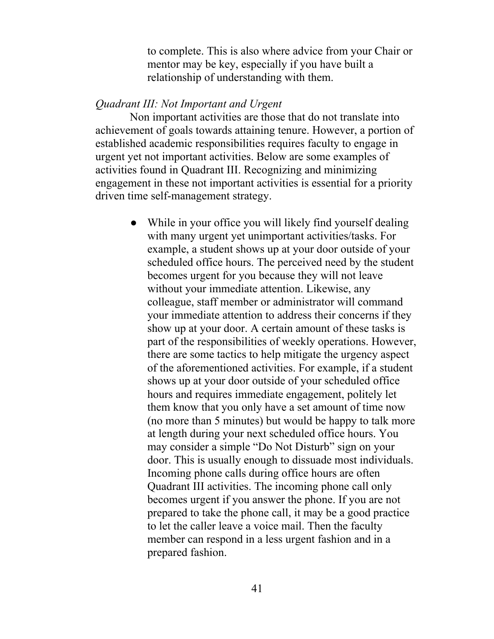to complete. This is also where advice from your Chair or mentor may be key, especially if you have built a relationship of understanding with them.

#### *Quadrant III: Not Important and Urgent*

Non important activities are those that do not translate into achievement of goals towards attaining tenure. However, a portion of established academic responsibilities requires faculty to engage in urgent yet not important activities. Below are some examples of activities found in Quadrant III. Recognizing and minimizing engagement in these not important activities is essential for a priority driven time self-management strategy.

> • While in your office you will likely find yourself dealing with many urgent yet unimportant activities/tasks. For example, a student shows up at your door outside of your scheduled office hours. The perceived need by the student becomes urgent for you because they will not leave without your immediate attention. Likewise, any colleague, staff member or administrator will command your immediate attention to address their concerns if they show up at your door. A certain amount of these tasks is part of the responsibilities of weekly operations. However, there are some tactics to help mitigate the urgency aspect of the aforementioned activities. For example, if a student shows up at your door outside of your scheduled office hours and requires immediate engagement, politely let them know that you only have a set amount of time now (no more than 5 minutes) but would be happy to talk more at length during your next scheduled office hours. You may consider a simple "Do Not Disturb" sign on your door. This is usually enough to dissuade most individuals. Incoming phone calls during office hours are often Quadrant III activities. The incoming phone call only becomes urgent if you answer the phone. If you are not prepared to take the phone call, it may be a good practice to let the caller leave a voice mail. Then the faculty member can respond in a less urgent fashion and in a prepared fashion.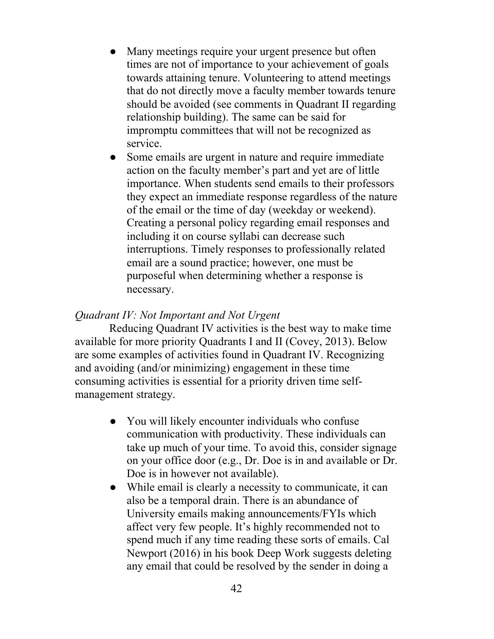- Many meetings require your urgent presence but often times are not of importance to your achievement of goals towards attaining tenure. Volunteering to attend meetings that do not directly move a faculty member towards tenure should be avoided (see comments in Quadrant II regarding relationship building). The same can be said for impromptu committees that will not be recognized as service.
- Some emails are urgent in nature and require immediate action on the faculty member's part and yet are of little importance. When students send emails to their professors they expect an immediate response regardless of the nature of the email or the time of day (weekday or weekend). Creating a personal policy regarding email responses and including it on course syllabi can decrease such interruptions. Timely responses to professionally related email are a sound practice; however, one must be purposeful when determining whether a response is necessary.

## *Quadrant IV: Not Important and Not Urgent*

Reducing Quadrant IV activities is the best way to make time available for more priority Quadrants I and II (Covey, 2013). Below are some examples of activities found in Quadrant IV. Recognizing and avoiding (and/or minimizing) engagement in these time consuming activities is essential for a priority driven time selfmanagement strategy.

- You will likely encounter individuals who confuse communication with productivity. These individuals can take up much of your time. To avoid this, consider signage on your office door (e.g., Dr. Doe is in and available or Dr. Doe is in however not available).
- While email is clearly a necessity to communicate, it can also be a temporal drain. There is an abundance of University emails making announcements/FYIs which affect very few people. It's highly recommended not to spend much if any time reading these sorts of emails. Cal Newport (2016) in his book Deep Work suggests deleting any email that could be resolved by the sender in doing a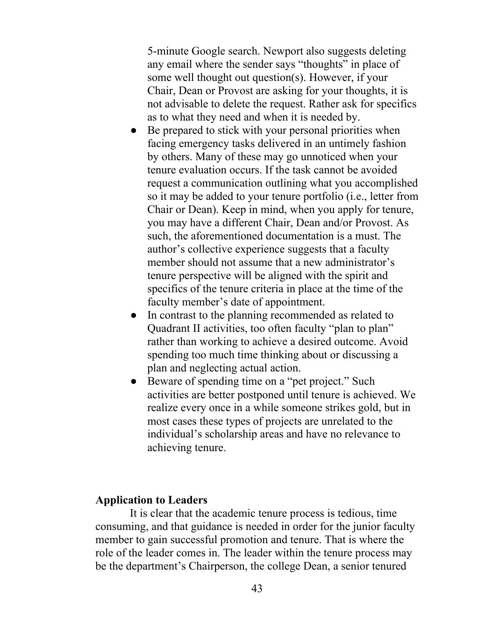5-minute Google search. Newport also suggests deleting any email where the sender says "thoughts" in place of some well thought out question(s). However, if your Chair, Dean or Provost are asking for your thoughts, it is not advisable to delete the request. Rather ask for specifics as to what they need and when it is needed by.

- Be prepared to stick with your personal priorities when facing emergency tasks delivered in an untimely fashion by others. Many of these may go unnoticed when your tenure evaluation occurs. If the task cannot be avoided request a communication outlining what you accomplished so it may be added to your tenure portfolio (i.e., letter from Chair or Dean). Keep in mind, when you apply for tenure, you may have a different Chair, Dean and/or Provost. As such, the aforementioned documentation is a must. The author's collective experience suggests that a faculty member should not assume that a new administrator's tenure perspective will be aligned with the spirit and specifics of the tenure criteria in place at the time of the faculty member's date of appointment.
- In contrast to the planning recommended as related to Quadrant II activities, too often faculty "plan to plan" rather than working to achieve a desired outcome. Avoid spending too much time thinking about or discussing a plan and neglecting actual action.
- Beware of spending time on a "pet project." Such activities are better postponed until tenure is achieved. We realize every once in a while someone strikes gold, but in most cases these types of projects are unrelated to the individual's scholarship areas and have no relevance to achieving tenure.

# **Application to Leaders**

It is clear that the academic tenure process is tedious, time consuming, and that guidance is needed in order for the junior faculty member to gain successful promotion and tenure. That is where the role of the leader comes in. The leader within the tenure process may be the department's Chairperson, the college Dean, a senior tenured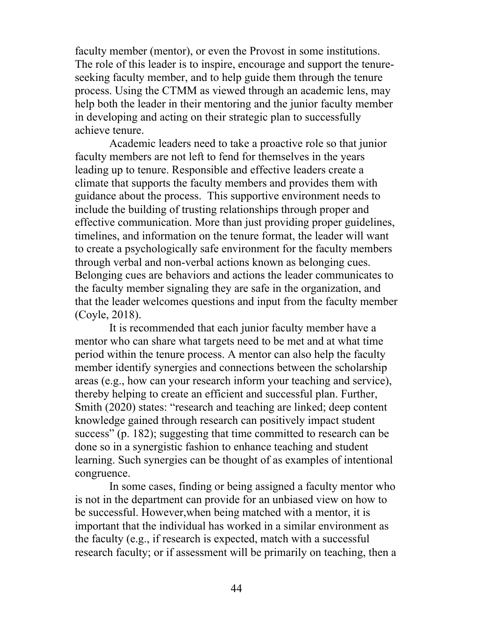faculty member (mentor), or even the Provost in some institutions. The role of this leader is to inspire, encourage and support the tenureseeking faculty member, and to help guide them through the tenure process. Using the CTMM as viewed through an academic lens, may help both the leader in their mentoring and the junior faculty member in developing and acting on their strategic plan to successfully achieve tenure.

Academic leaders need to take a proactive role so that junior faculty members are not left to fend for themselves in the years leading up to tenure. Responsible and effective leaders create a climate that supports the faculty members and provides them with guidance about the process. This supportive environment needs to include the building of trusting relationships through proper and effective communication. More than just providing proper guidelines, timelines, and information on the tenure format, the leader will want to create a psychologically safe environment for the faculty members through verbal and non-verbal actions known as belonging cues. Belonging cues are behaviors and actions the leader communicates to the faculty member signaling they are safe in the organization, and that the leader welcomes questions and input from the faculty member (Coyle, 2018).

It is recommended that each junior faculty member have a mentor who can share what targets need to be met and at what time period within the tenure process. A mentor can also help the faculty member identify synergies and connections between the scholarship areas (e.g., how can your research inform your teaching and service), thereby helping to create an efficient and successful plan. Further, Smith (2020) states: "research and teaching are linked; deep content knowledge gained through research can positively impact student success" (p. 182); suggesting that time committed to research can be done so in a synergistic fashion to enhance teaching and student learning. Such synergies can be thought of as examples of intentional congruence.

In some cases, finding or being assigned a faculty mentor who is not in the department can provide for an unbiased view on how to be successful. However,when being matched with a mentor, it is important that the individual has worked in a similar environment as the faculty (e.g., if research is expected, match with a successful research faculty; or if assessment will be primarily on teaching, then a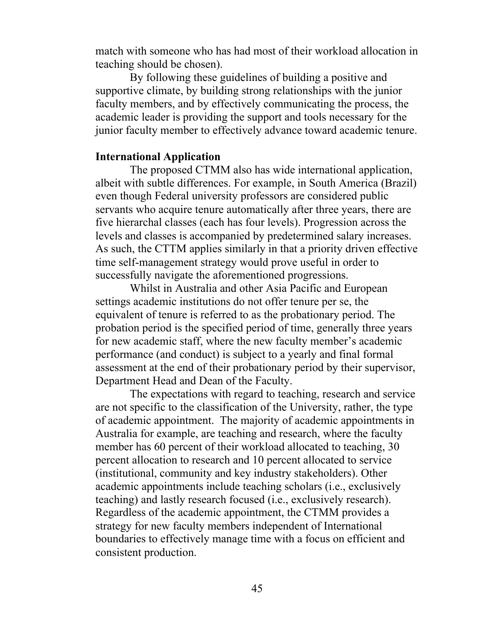match with someone who has had most of their workload allocation in teaching should be chosen).

By following these guidelines of building a positive and supportive climate, by building strong relationships with the junior faculty members, and by effectively communicating the process, the academic leader is providing the support and tools necessary for the junior faculty member to effectively advance toward academic tenure.

#### **International Application**

The proposed CTMM also has wide international application, albeit with subtle differences. For example, in South America (Brazil) even though Federal university professors are considered public servants who acquire tenure automatically after three years, there are five hierarchal classes (each has four levels). Progression across the levels and classes is accompanied by predetermined salary increases. As such, the CTTM applies similarly in that a priority driven effective time self-management strategy would prove useful in order to successfully navigate the aforementioned progressions.

Whilst in Australia and other Asia Pacific and European settings academic institutions do not offer tenure per se, the equivalent of tenure is referred to as the probationary period. The probation period is the specified period of time, generally three years for new academic staff, where the new faculty member's academic performance (and conduct) is subject to a yearly and final formal assessment at the end of their probationary period by their supervisor, Department Head and Dean of the Faculty.

The expectations with regard to teaching, research and service are not specific to the classification of the University, rather, the type of academic appointment. The majority of academic appointments in Australia for example, are teaching and research, where the faculty member has 60 percent of their workload allocated to teaching, 30 percent allocation to research and 10 percent allocated to service (institutional, community and key industry stakeholders). Other academic appointments include teaching scholars (i.e., exclusively teaching) and lastly research focused (i.e., exclusively research). Regardless of the academic appointment, the CTMM provides a strategy for new faculty members independent of International boundaries to effectively manage time with a focus on efficient and consistent production.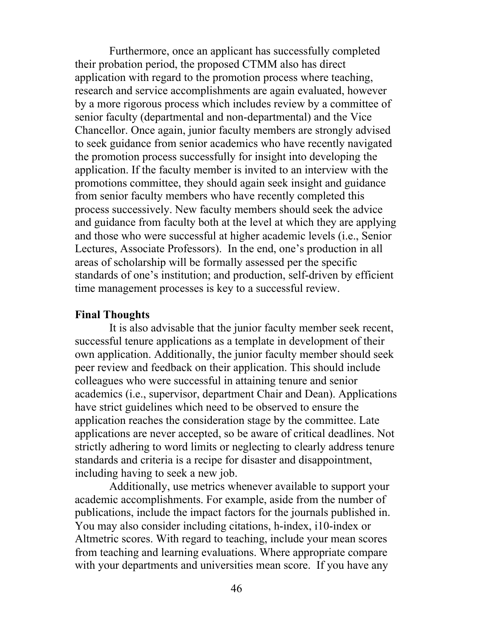Furthermore, once an applicant has successfully completed their probation period, the proposed CTMM also has direct application with regard to the promotion process where teaching, research and service accomplishments are again evaluated, however by a more rigorous process which includes review by a committee of senior faculty (departmental and non-departmental) and the Vice Chancellor. Once again, junior faculty members are strongly advised to seek guidance from senior academics who have recently navigated the promotion process successfully for insight into developing the application. If the faculty member is invited to an interview with the promotions committee, they should again seek insight and guidance from senior faculty members who have recently completed this process successively. New faculty members should seek the advice and guidance from faculty both at the level at which they are applying and those who were successful at higher academic levels (i.e., Senior Lectures, Associate Professors). In the end, one's production in all areas of scholarship will be formally assessed per the specific standards of one's institution; and production, self-driven by efficient time management processes is key to a successful review.

#### **Final Thoughts**

It is also advisable that the junior faculty member seek recent, successful tenure applications as a template in development of their own application. Additionally, the junior faculty member should seek peer review and feedback on their application. This should include colleagues who were successful in attaining tenure and senior academics (i.e., supervisor, department Chair and Dean). Applications have strict guidelines which need to be observed to ensure the application reaches the consideration stage by the committee. Late applications are never accepted, so be aware of critical deadlines. Not strictly adhering to word limits or neglecting to clearly address tenure standards and criteria is a recipe for disaster and disappointment, including having to seek a new job.

Additionally, use metrics whenever available to support your academic accomplishments. For example, aside from the number of publications, include the impact factors for the journals published in. You may also consider including citations, h-index, i10-index or Altmetric scores. With regard to teaching, include your mean scores from teaching and learning evaluations. Where appropriate compare with your departments and universities mean score. If you have any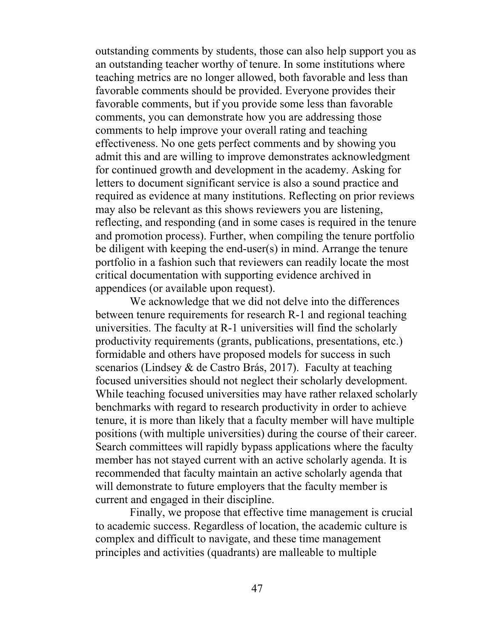outstanding comments by students, those can also help support you as an outstanding teacher worthy of tenure. In some institutions where teaching metrics are no longer allowed, both favorable and less than favorable comments should be provided. Everyone provides their favorable comments, but if you provide some less than favorable comments, you can demonstrate how you are addressing those comments to help improve your overall rating and teaching effectiveness. No one gets perfect comments and by showing you admit this and are willing to improve demonstrates acknowledgment for continued growth and development in the academy. Asking for letters to document significant service is also a sound practice and required as evidence at many institutions. Reflecting on prior reviews may also be relevant as this shows reviewers you are listening, reflecting, and responding (and in some cases is required in the tenure and promotion process). Further, when compiling the tenure portfolio be diligent with keeping the end-user(s) in mind. Arrange the tenure portfolio in a fashion such that reviewers can readily locate the most critical documentation with supporting evidence archived in appendices (or available upon request).

We acknowledge that we did not delve into the differences between tenure requirements for research R-1 and regional teaching universities. The faculty at R-1 universities will find the scholarly productivity requirements (grants, publications, presentations, etc.) formidable and others have proposed models for success in such scenarios (Lindsey & de Castro Brás, 2017). Faculty at teaching focused universities should not neglect their scholarly development. While teaching focused universities may have rather relaxed scholarly benchmarks with regard to research productivity in order to achieve tenure, it is more than likely that a faculty member will have multiple positions (with multiple universities) during the course of their career. Search committees will rapidly bypass applications where the faculty member has not stayed current with an active scholarly agenda. It is recommended that faculty maintain an active scholarly agenda that will demonstrate to future employers that the faculty member is current and engaged in their discipline.

Finally, we propose that effective time management is crucial to academic success. Regardless of location, the academic culture is complex and difficult to navigate, and these time management principles and activities (quadrants) are malleable to multiple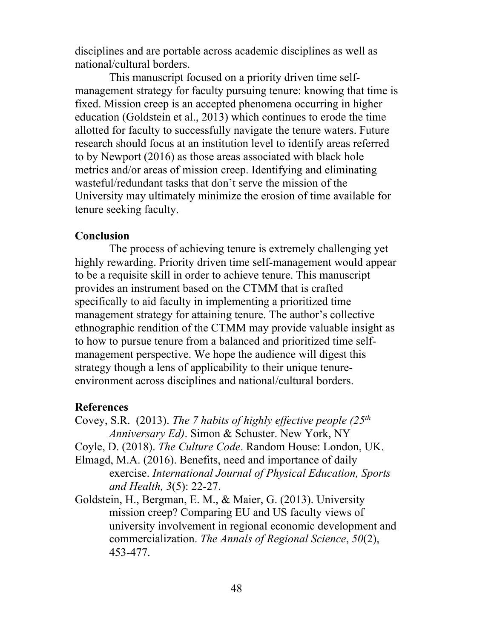disciplines and are portable across academic disciplines as well as national/cultural borders.

This manuscript focused on a priority driven time selfmanagement strategy for faculty pursuing tenure: knowing that time is fixed. Mission creep is an accepted phenomena occurring in higher education (Goldstein et al., 2013) which continues to erode the time allotted for faculty to successfully navigate the tenure waters. Future research should focus at an institution level to identify areas referred to by Newport (2016) as those areas associated with black hole metrics and/or areas of mission creep. Identifying and eliminating wasteful/redundant tasks that don't serve the mission of the University may ultimately minimize the erosion of time available for tenure seeking faculty.

#### **Conclusion**

The process of achieving tenure is extremely challenging yet highly rewarding. Priority driven time self-management would appear to be a requisite skill in order to achieve tenure. This manuscript provides an instrument based on the CTMM that is crafted specifically to aid faculty in implementing a prioritized time management strategy for attaining tenure. The author's collective ethnographic rendition of the CTMM may provide valuable insight as to how to pursue tenure from a balanced and prioritized time selfmanagement perspective. We hope the audience will digest this strategy though a lens of applicability to their unique tenureenvironment across disciplines and national/cultural borders.

### **References**

Covey, S.R. (2013). *The 7 habits of highly effective people (25th Anniversary Ed)*. Simon & Schuster. New York, NY

Coyle, D. (2018). *The Culture Code*. Random House: London, UK.

- Elmagd, M.A. (2016). Benefits, need and importance of daily exercise. *International Journal of Physical Education, Sports and Health, 3*(5): 22-27.
- Goldstein, H., Bergman, E. M., & Maier, G. (2013). University mission creep? Comparing EU and US faculty views of university involvement in regional economic development and commercialization. *The Annals of Regional Science*, *50*(2), 453-477.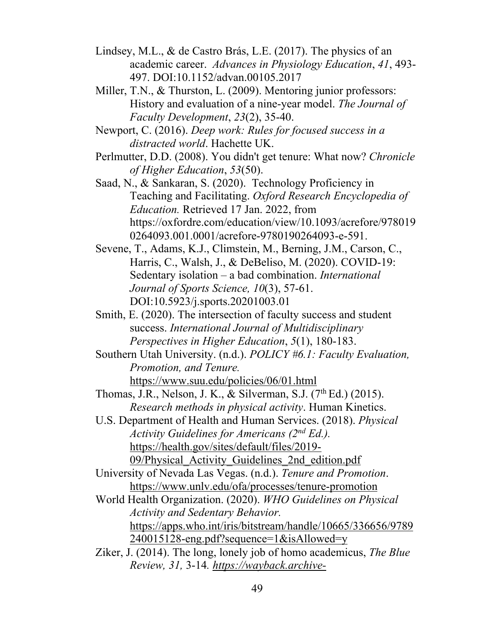- Lindsey, M.L., & de Castro Brás, L.E. (2017). The physics of an academic career. *Advances in Physiology Education*, *41*, 493- 497. DOI:10.1152/advan.00105.2017
- Miller, T.N., & Thurston, L. (2009). Mentoring junior professors: History and evaluation of a nine-year model. *The Journal of Faculty Development*, *23*(2), 35-40.
- Newport, C. (2016). *Deep work: Rules for focused success in a distracted world*. Hachette UK.
- Perlmutter, D.D. (2008). You didn't get tenure: What now? *Chronicle of Higher Education*, *53*(50).
- Saad, N., & Sankaran, S. (2020). Technology Proficiency in Teaching and Facilitating. *Oxford Research Encyclopedia of Education.* Retrieved 17 Jan. 2022, from https://oxfordre.com/education/view/10.1093/acrefore/978019 0264093.001.0001/acrefore-9780190264093-e-591.
- Sevene, T., Adams, K.J., Climstein, M., Berning, J.M., Carson, C., Harris, C., Walsh, J., & DeBeliso, M. (2020). COVID-19: Sedentary isolation – a bad combination. *International Journal of Sports Science, 10*(3), 57-61. DOI:10.5923/j.sports.20201003.01
- Smith, E. (2020). The intersection of faculty success and student success. *International Journal of Multidisciplinary Perspectives in Higher Education*, *5*(1), 180-183.
- Southern Utah University. (n.d.). *POLICY #6.1: Faculty Evaluation, Promotion, and Tenure.* https://www.suu.edu/policies/06/01.html
- Thomas, J.R., Nelson, J. K., & Silverman, S.J.  $(7<sup>th</sup> Ed.)$   $(2015)$ . *Research methods in physical activity*. Human Kinetics.
- U.S. Department of Health and Human Services. (2018). *Physical Activity Guidelines for Americans (2nd Ed.).* https://health.gov/sites/default/files/2019- 09/Physical\_Activity\_Guidelines\_2nd\_edition.pdf
- University of Nevada Las Vegas. (n.d.). *Tenure and Promotion*. https://www.unlv.edu/ofa/processes/tenure-promotion
- World Health Organization. (2020). *WHO Guidelines on Physical Activity and Sedentary Behavior.* https://apps.who.int/iris/bitstream/handle/10665/336656/9789 240015128-eng.pdf?sequence=1&isAllowed=y
- Ziker, J. (2014). The long, lonely job of homo academicus, *The Blue Review, 31,* 3-14*. https://wayback.archive-*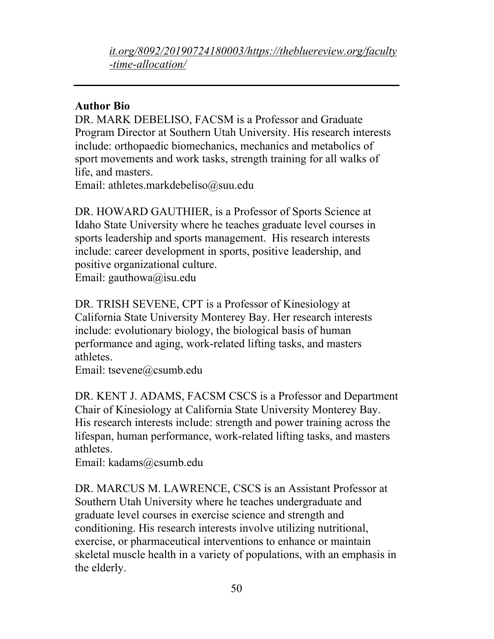*it.org/8092/20190724180003/https://thebluereview.org/faculty -time-allocation/*

## **Author Bio**

DR. MARK DEBELISO, FACSM is a Professor and Graduate Program Director at Southern Utah University. His research interests include: orthopaedic biomechanics, mechanics and metabolics of sport movements and work tasks, strength training for all walks of life, and masters.

Email: athletes.markdebeliso@suu.edu

DR. HOWARD GAUTHIER, is a Professor of Sports Science at Idaho State University where he teaches graduate level courses in sports leadership and sports management. His research interests include: career development in sports, positive leadership, and positive organizational culture.

Email: gauthowa@isu.edu

DR. TRISH SEVENE, CPT is a Professor of Kinesiology at California State University Monterey Bay. Her research interests include: evolutionary biology, the biological basis of human performance and aging, work-related lifting tasks, and masters athletes.

Email: tsevene@csumb.edu

DR. KENT J. ADAMS, FACSM CSCS is a Professor and Department Chair of Kinesiology at California State University Monterey Bay. His research interests include: strength and power training across the lifespan, human performance, work-related lifting tasks, and masters athletes.

Email: kadams@csumb.edu

DR. MARCUS M. LAWRENCE, CSCS is an Assistant Professor at Southern Utah University where he teaches undergraduate and graduate level courses in exercise science and strength and conditioning. His research interests involve utilizing nutritional, exercise, or pharmaceutical interventions to enhance or maintain skeletal muscle health in a variety of populations, with an emphasis in the elderly.